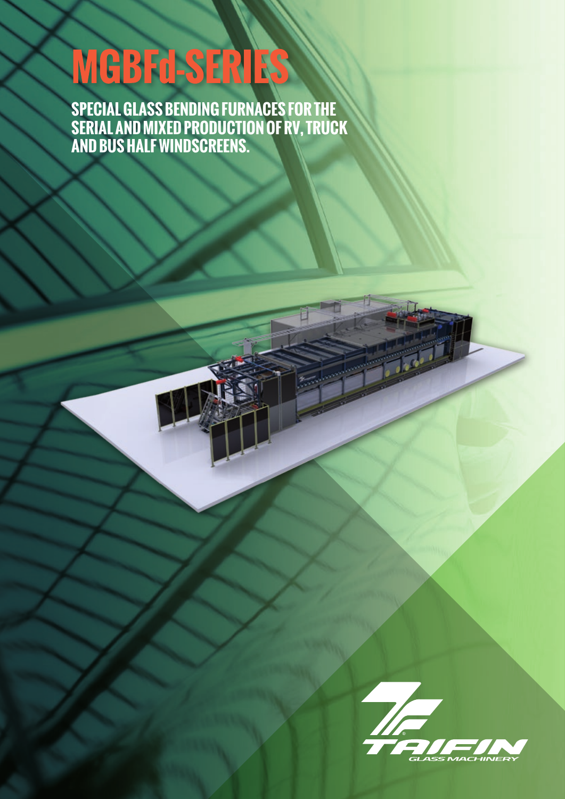# **MGBFd-SERIES**

**SPECIAL GLASS BENDING FURNACES FOR THE SERIAL AND MIXED PRODUCTION OF RV, TRUCK AND BUS HALF WINDSCREENS.**